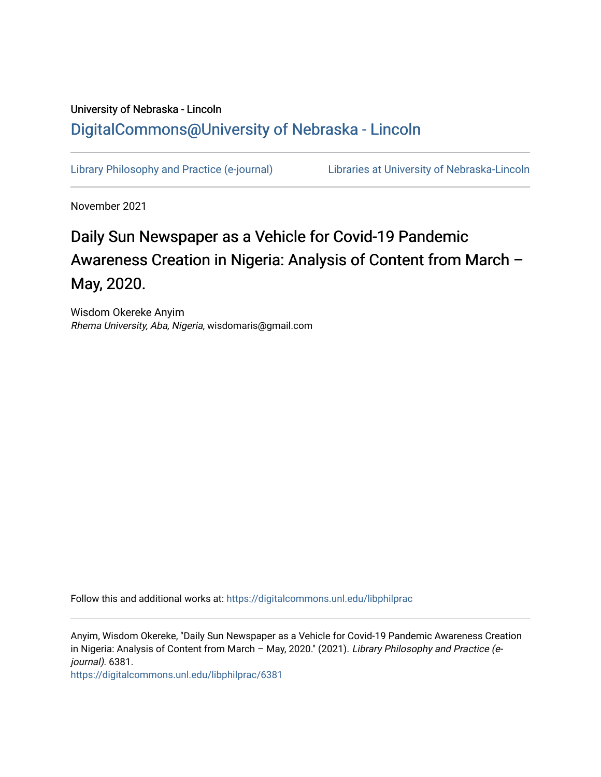## University of Nebraska - Lincoln [DigitalCommons@University of Nebraska - Lincoln](https://digitalcommons.unl.edu/)

[Library Philosophy and Practice \(e-journal\)](https://digitalcommons.unl.edu/libphilprac) [Libraries at University of Nebraska-Lincoln](https://digitalcommons.unl.edu/libraries) 

November 2021

# Daily Sun Newspaper as a Vehicle for Covid-19 Pandemic Awareness Creation in Nigeria: Analysis of Content from March -May, 2020.

Wisdom Okereke Anyim Rhema University, Aba, Nigeria, wisdomaris@gmail.com

Follow this and additional works at: [https://digitalcommons.unl.edu/libphilprac](https://digitalcommons.unl.edu/libphilprac?utm_source=digitalcommons.unl.edu%2Flibphilprac%2F6381&utm_medium=PDF&utm_campaign=PDFCoverPages) 

Anyim, Wisdom Okereke, "Daily Sun Newspaper as a Vehicle for Covid-19 Pandemic Awareness Creation in Nigeria: Analysis of Content from March – May, 2020." (2021). Library Philosophy and Practice (ejournal). 6381.

[https://digitalcommons.unl.edu/libphilprac/6381](https://digitalcommons.unl.edu/libphilprac/6381?utm_source=digitalcommons.unl.edu%2Flibphilprac%2F6381&utm_medium=PDF&utm_campaign=PDFCoverPages)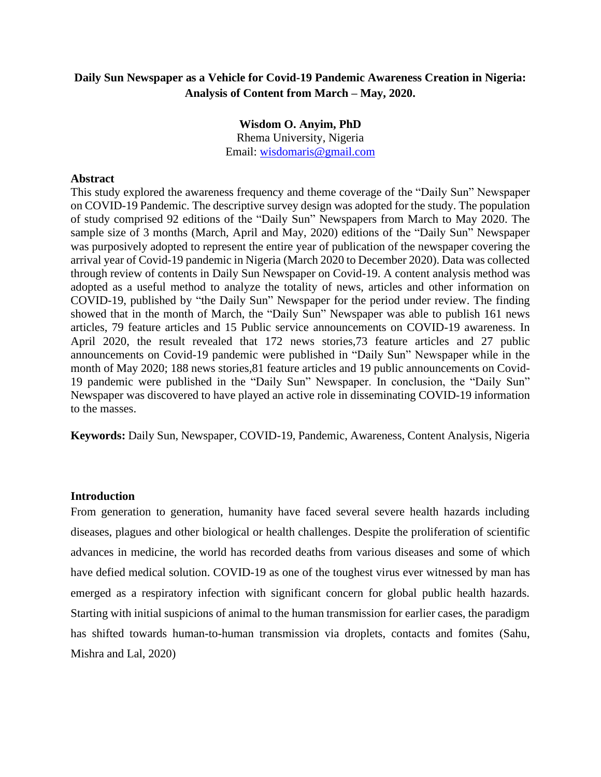## **Daily Sun Newspaper as a Vehicle for Covid-19 Pandemic Awareness Creation in Nigeria: Analysis of Content from March – May, 2020.**

#### **Wisdom O. Anyim, PhD**

Rhema University, Nigeria Email: [wisdomaris@gmail.com](mailto:wisdomaris@gmail.com)

#### **Abstract**

This study explored the awareness frequency and theme coverage of the "Daily Sun" Newspaper on COVID-19 Pandemic. The descriptive survey design was adopted for the study. The population of study comprised 92 editions of the "Daily Sun" Newspapers from March to May 2020. The sample size of 3 months (March, April and May, 2020) editions of the "Daily Sun" Newspaper was purposively adopted to represent the entire year of publication of the newspaper covering the arrival year of Covid-19 pandemic in Nigeria (March 2020 to December 2020). Data was collected through review of contents in Daily Sun Newspaper on Covid-19. A content analysis method was adopted as a useful method to analyze the totality of news, articles and other information on COVID-19, published by "the Daily Sun" Newspaper for the period under review. The finding showed that in the month of March, the "Daily Sun" Newspaper was able to publish 161 news articles, 79 feature articles and 15 Public service announcements on COVID-19 awareness. In April 2020, the result revealed that 172 news stories,73 feature articles and 27 public announcements on Covid-19 pandemic were published in "Daily Sun" Newspaper while in the month of May 2020; 188 news stories,81 feature articles and 19 public announcements on Covid-19 pandemic were published in the "Daily Sun" Newspaper. In conclusion, the "Daily Sun" Newspaper was discovered to have played an active role in disseminating COVID-19 information to the masses.

**Keywords:** Daily Sun, Newspaper, COVID-19, Pandemic, Awareness, Content Analysis, Nigeria

#### **Introduction**

From generation to generation, humanity have faced several severe health hazards including diseases, plagues and other biological or health challenges. Despite the proliferation of scientific advances in medicine, the world has recorded deaths from various diseases and some of which have defied medical solution. COVID-19 as one of the toughest virus ever witnessed by man has emerged as a respiratory infection with significant concern for global public health hazards. Starting with initial suspicions of animal to the human transmission for earlier cases, the paradigm has shifted towards human-to-human transmission via droplets, contacts and fomites (Sahu, Mishra and Lal, 2020)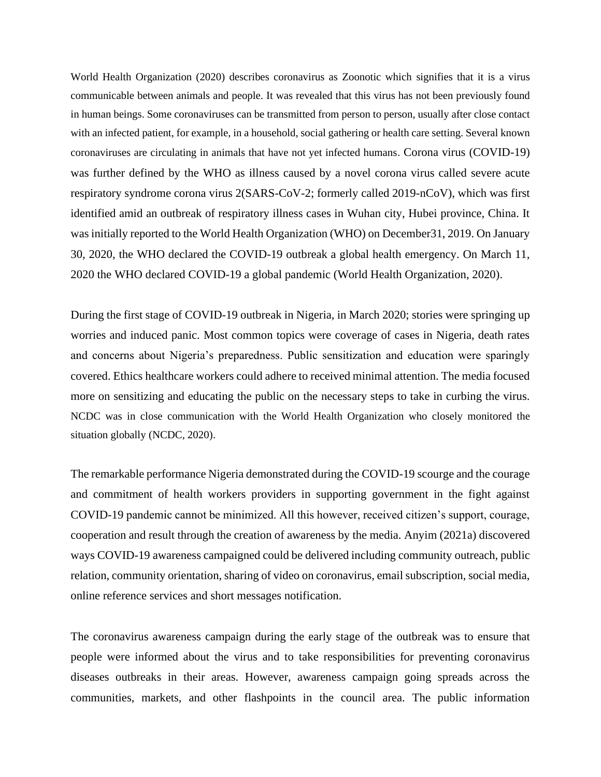World Health Organization (2020) describes coronavirus as Zoonotic which signifies that it is a virus communicable between animals and people. It was revealed that this virus has not been previously found in human beings. Some coronaviruses can be transmitted from person to person, usually after close contact with an infected patient, for example, in a household, social gathering or health care setting. Several known coronaviruses are circulating in animals that have not yet infected humans. Corona virus (COVID-19) was further defined by the WHO as illness caused by a novel corona virus called severe acute respiratory syndrome corona virus 2(SARS-CoV-2; formerly called 2019-nCoV), which was first identified amid an outbreak of respiratory illness cases in Wuhan city, Hubei province, China. It was initially reported to the World Health Organization (WHO) on December31, 2019. On January 30, 2020, the WHO declared the COVID-19 outbreak a global health emergency. On March 11, 2020 the WHO declared COVID-19 a global pandemic (World Health Organization, 2020).

During the first stage of COVID-19 outbreak in Nigeria, in March 2020; stories were springing up worries and induced panic. Most common topics were coverage of cases in Nigeria, death rates and concerns about Nigeria's preparedness. Public sensitization and education were sparingly covered. Ethics healthcare workers could adhere to received minimal attention. The media focused more on sensitizing and educating the public on the necessary steps to take in curbing the virus. NCDC was in close communication with the World Health Organization who closely monitored the situation globally (NCDC, 2020).

The remarkable performance Nigeria demonstrated during the COVID-19 scourge and the courage and commitment of health workers providers in supporting government in the fight against COVID-19 pandemic cannot be minimized. All this however, received citizen's support, courage, cooperation and result through the creation of awareness by the media. Anyim (2021a) discovered ways COVID-19 awareness campaigned could be delivered including community outreach, public relation, community orientation, sharing of video on coronavirus, email subscription, social media, online reference services and short messages notification.

The coronavirus awareness campaign during the early stage of the outbreak was to ensure that people were informed about the virus and to take responsibilities for preventing coronavirus diseases outbreaks in their areas. However, awareness campaign going spreads across the communities, markets, and other flashpoints in the council area. The public information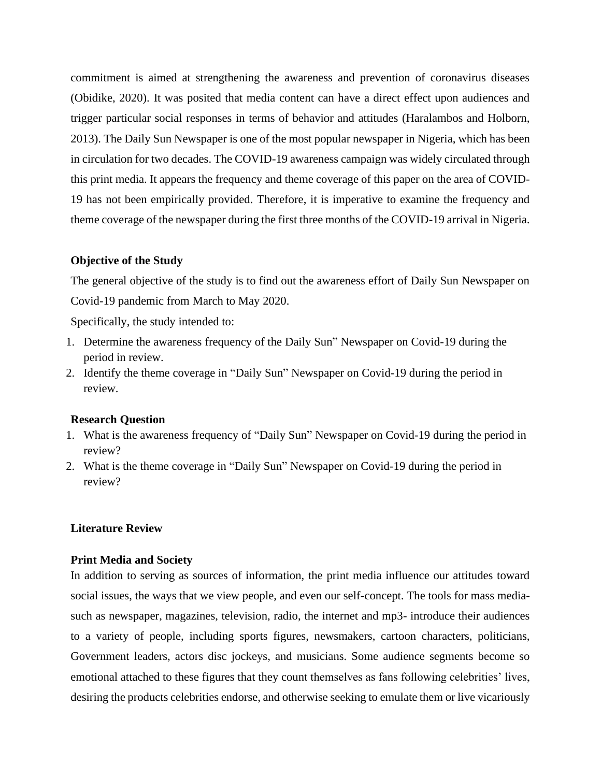commitment is aimed at strengthening the awareness and prevention of coronavirus diseases (Obidike, 2020). It was posited that media content can have a direct effect upon audiences and trigger particular social responses in terms of behavior and attitudes (Haralambos and Holborn, 2013). The Daily Sun Newspaper is one of the most popular newspaper in Nigeria, which has been in circulation for two decades. The COVID-19 awareness campaign was widely circulated through this print media. It appears the frequency and theme coverage of this paper on the area of COVID-19 has not been empirically provided. Therefore, it is imperative to examine the frequency and theme coverage of the newspaper during the first three months of the COVID-19 arrival in Nigeria.

#### **Objective of the Study**

The general objective of the study is to find out the awareness effort of Daily Sun Newspaper on Covid-19 pandemic from March to May 2020.

Specifically, the study intended to:

- 1. Determine the awareness frequency of the Daily Sun" Newspaper on Covid-19 during the period in review.
- 2. Identify the theme coverage in "Daily Sun" Newspaper on Covid-19 during the period in review.

### **Research Question**

- 1. What is the awareness frequency of "Daily Sun" Newspaper on Covid-19 during the period in review?
- 2. What is the theme coverage in "Daily Sun" Newspaper on Covid-19 during the period in review?

#### **Literature Review**

#### **Print Media and Society**

In addition to serving as sources of information, the print media influence our attitudes toward social issues, the ways that we view people, and even our self-concept. The tools for mass mediasuch as newspaper, magazines, television, radio, the internet and mp3- introduce their audiences to a variety of people, including sports figures, newsmakers, cartoon characters, politicians, Government leaders, actors disc jockeys, and musicians. Some audience segments become so emotional attached to these figures that they count themselves as fans following celebrities' lives, desiring the products celebrities endorse, and otherwise seeking to emulate them or live vicariously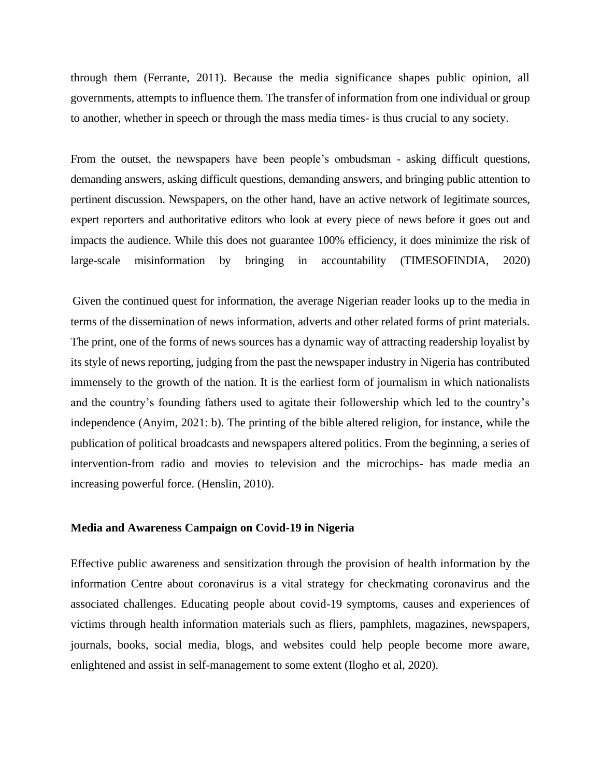through them (Ferrante, 2011). Because the media significance shapes public opinion, all governments, attempts to influence them. The transfer of information from one individual or group to another, whether in speech or through the mass media times- is thus crucial to any society.

From the outset, the newspapers have been people's ombudsman - asking difficult questions, demanding answers, asking difficult questions, demanding answers, and bringing public attention to pertinent discussion. Newspapers, on the other hand, have an active network of legitimate sources, expert reporters and authoritative editors who look at every piece of news before it goes out and impacts the audience. While this does not guarantee 100% efficiency, it does minimize the risk of large-scale misinformation by bringing in accountability (TIMESOFINDIA, 2020)

Given the continued quest for information, the average Nigerian reader looks up to the media in terms of the dissemination of news information, adverts and other related forms of print materials. The print, one of the forms of news sources has a dynamic way of attracting readership loyalist by its style of news reporting, judging from the past the newspaper industry in Nigeria has contributed immensely to the growth of the nation. It is the earliest form of journalism in which nationalists and the country's founding fathers used to agitate their followership which led to the country's independence (Anyim, 2021: b). The printing of the bible altered religion, for instance, while the publication of political broadcasts and newspapers altered politics. From the beginning, a series of intervention-from radio and movies to television and the microchips- has made media an increasing powerful force. (Henslin, 2010).

#### **Media and Awareness Campaign on Covid-19 in Nigeria**

Effective public awareness and sensitization through the provision of health information by the information Centre about coronavirus is a vital strategy for checkmating coronavirus and the associated challenges. Educating people about covid-19 symptoms, causes and experiences of victims through health information materials such as fliers, pamphlets, magazines, newspapers, journals, books, social media, blogs, and websites could help people become more aware, enlightened and assist in self-management to some extent (Ilogho et al, 2020).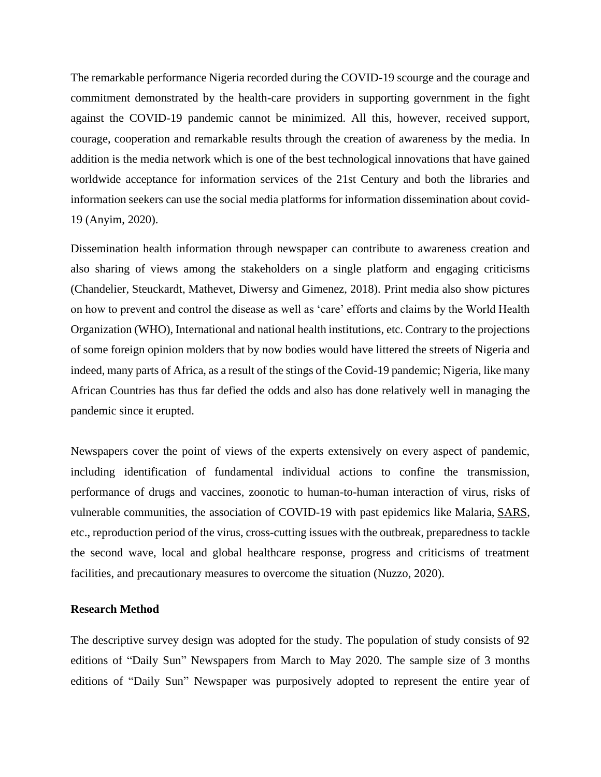The remarkable performance Nigeria recorded during the COVID-19 scourge and the courage and commitment demonstrated by the health-care providers in supporting government in the fight against the COVID-19 pandemic cannot be minimized. All this, however, received support, courage, cooperation and remarkable results through the creation of awareness by the media. In addition is the media network which is one of the best technological innovations that have gained worldwide acceptance for information services of the 21st Century and both the libraries and information seekers can use the social media platforms for information dissemination about covid-19 (Anyim, 2020).

Dissemination health information through newspaper can contribute to awareness creation and also sharing of views among the stakeholders on a single platform and engaging criticisms (Chandelier, Steuckardt, Mathevet, Diwersy and Gimenez, 2018). Print media also show pictures on how to prevent and control the disease as well as 'care' efforts and claims by the World Health Organization (WHO), International and national health institutions, etc. Contrary to the projections of some foreign opinion molders that by now bodies would have littered the streets of Nigeria and indeed, many parts of Africa, as a result of the stings of the Covid-19 pandemic; Nigeria, like many African Countries has thus far defied the odds and also has done relatively well in managing the pandemic since it erupted.

Newspapers cover the point of views of the experts extensively on every aspect of pandemic, including identification of fundamental individual actions to confine the transmission, performance of drugs and vaccines, zoonotic to human-to-human interaction of virus, risks of vulnerable communities, the association of COVID-19 with past epidemics like Malaria, [SARS,](https://www.sciencedirect.com/topics/nursing-and-health-professions/severe-acute-respiratory-syndrome) etc., reproduction period of the virus, cross-cutting issues with the outbreak, preparedness to tackle the second wave, local and global healthcare response, progress and criticisms of treatment facilities, and precautionary measures to overcome the situation (Nuzzo, 2020).

#### **Research Method**

The descriptive survey design was adopted for the study. The population of study consists of 92 editions of "Daily Sun" Newspapers from March to May 2020. The sample size of 3 months editions of "Daily Sun" Newspaper was purposively adopted to represent the entire year of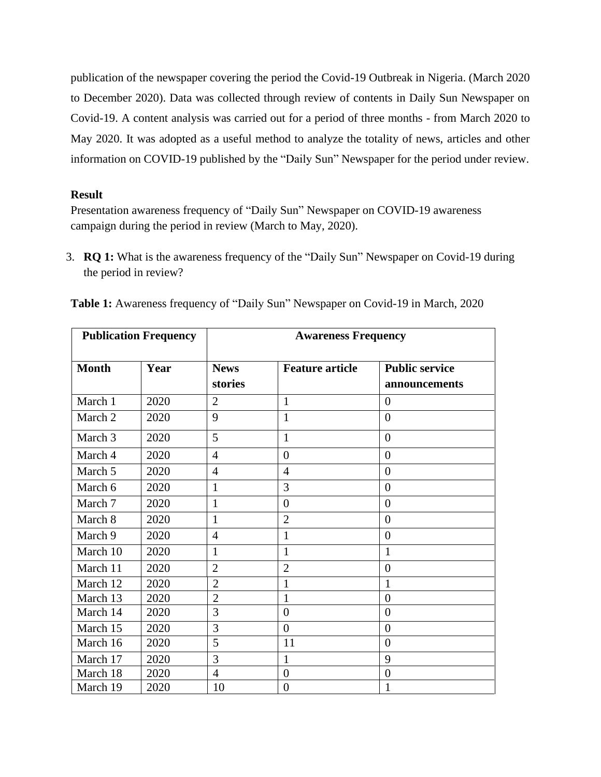publication of the newspaper covering the period the Covid-19 Outbreak in Nigeria. (March 2020 to December 2020). Data was collected through review of contents in Daily Sun Newspaper on Covid-19. A content analysis was carried out for a period of three months - from March 2020 to May 2020. It was adopted as a useful method to analyze the totality of news, articles and other information on COVID-19 published by the "Daily Sun" Newspaper for the period under review.

## **Result**

Presentation awareness frequency of "Daily Sun" Newspaper on COVID-19 awareness campaign during the period in review (March to May, 2020).

3. **RQ 1:** What is the awareness frequency of the "Daily Sun" Newspaper on Covid-19 during the period in review?

| <b>Publication Frequency</b> |      | <b>Awareness Frequency</b> |                        |                                        |  |
|------------------------------|------|----------------------------|------------------------|----------------------------------------|--|
| <b>Month</b>                 | Year | <b>News</b><br>stories     | <b>Feature article</b> | <b>Public service</b><br>announcements |  |
| March 1                      | 2020 | $\overline{2}$             | 1                      | $\Omega$                               |  |
| March 2                      | 2020 | 9                          | 1                      | $\overline{0}$                         |  |
| March 3                      | 2020 | 5                          | $\mathbf{1}$           | $\overline{0}$                         |  |
| March 4                      | 2020 | $\overline{4}$             | $\overline{0}$         | $\overline{0}$                         |  |
| March 5                      | 2020 | $\overline{4}$             | $\overline{4}$         | $\overline{0}$                         |  |
| March 6                      | 2020 | 1                          | 3                      | $\Omega$                               |  |
| March 7                      | 2020 | $\mathbf{1}$               | $\overline{0}$         | $\overline{0}$                         |  |
| March 8                      | 2020 | 1                          | $\overline{2}$         | $\overline{0}$                         |  |
| March 9                      | 2020 | 4                          | 1                      | $\theta$                               |  |
| March 10                     | 2020 | $\mathbf{1}$               | $\mathbf{1}$           | $\mathbf{1}$                           |  |
| March 11                     | 2020 | $\overline{2}$             | $\overline{2}$         | $\overline{0}$                         |  |
| March 12                     | 2020 | $\overline{2}$             | 1                      | 1                                      |  |
| March 13                     | 2020 | $\overline{2}$             | 1                      | $\overline{0}$                         |  |
| March 14                     | 2020 | 3                          | $\overline{0}$         | $\overline{0}$                         |  |
| March 15                     | 2020 | 3                          | $\theta$               | $\theta$                               |  |
| March 16                     | 2020 | 5                          | 11                     | $\overline{0}$                         |  |
| March 17                     | 2020 | 3                          | 1                      | 9                                      |  |
| March 18                     | 2020 | $\overline{4}$             | $\overline{0}$         | $\overline{0}$                         |  |
| March 19                     | 2020 | 10                         | $\overline{0}$         | 1                                      |  |

**Table 1:** Awareness frequency of "Daily Sun" Newspaper on Covid-19 in March, 2020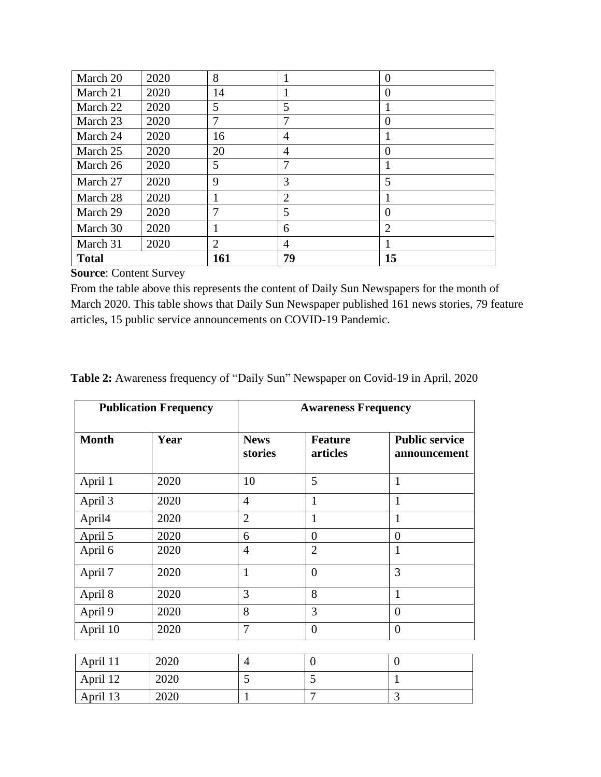| March 20     | 2020 | 8      |                | $\overline{0}$ |
|--------------|------|--------|----------------|----------------|
| March 21     | 2020 | 14     |                | $\theta$       |
| March 22     | 2020 | 5      | 5              | 1              |
| March 23     | 2020 | $\tau$ |                | $\Omega$       |
| March 24     | 2020 | 16     | 4              |                |
| March 25     | 2020 | 20     | $\overline{4}$ | $\Omega$       |
| March 26     | 2020 | 5      | 7              | 1              |
| March 27     | 2020 | 9      | 3              | 5              |
| March 28     | 2020 |        | $\overline{2}$ |                |
| March 29     | 2020 | 7      | 5              | $\theta$       |
| March 30     | 2020 |        | 6              | $\overline{2}$ |
| March 31     | 2020 | 2      | $\overline{A}$ |                |
| <b>Total</b> |      | 161    | 79             | 15             |

From the table above this represents the content of Daily Sun Newspapers for the month of March 2020. This table shows that Daily Sun Newspaper published 161 news stories, 79 feature articles, 15 public service announcements on COVID-19 Pandemic.

| Table 2: Awareness frequency of "Daily Sun" Newspaper on Covid-19 in April, 2020 |  |  |  |  |
|----------------------------------------------------------------------------------|--|--|--|--|
|----------------------------------------------------------------------------------|--|--|--|--|

| <b>Publication Frequency</b> |      | <b>Awareness Frequency</b> |                            |                                       |  |
|------------------------------|------|----------------------------|----------------------------|---------------------------------------|--|
| <b>Month</b>                 | Year | <b>News</b><br>stories     | <b>Feature</b><br>articles | <b>Public service</b><br>announcement |  |
| April 1                      | 2020 | 10                         | 5                          | $\mathbf{1}$                          |  |
| April 3                      | 2020 | $\overline{4}$             | $\mathbf{1}$               | $\mathbf{1}$                          |  |
| April4                       | 2020 | $\overline{2}$             | 1                          | 1                                     |  |
| April 5                      | 2020 | 6                          | $\overline{0}$             | $\overline{0}$                        |  |
| April 6                      | 2020 | $\overline{4}$             | $\overline{2}$             | 1                                     |  |
| April 7                      | 2020 | $\mathbf{1}$               | $\theta$                   | 3                                     |  |
| April 8                      | 2020 | 3                          | 8                          | $\mathbf{1}$                          |  |
| April 9                      | 2020 | 8                          | 3                          | $\overline{0}$                        |  |
| April 10                     | 2020 | 7                          | $\overline{0}$             | $\overline{0}$                        |  |
|                              |      |                            |                            |                                       |  |
| April 11                     | 2020 | 4                          | $\overline{0}$             | $\overline{0}$                        |  |
| April 12                     | 2020 | 5                          | 5                          | $\mathbf{1}$                          |  |
| April 13                     | 2020 | $\mathbf{1}$               | $\overline{7}$             | 3                                     |  |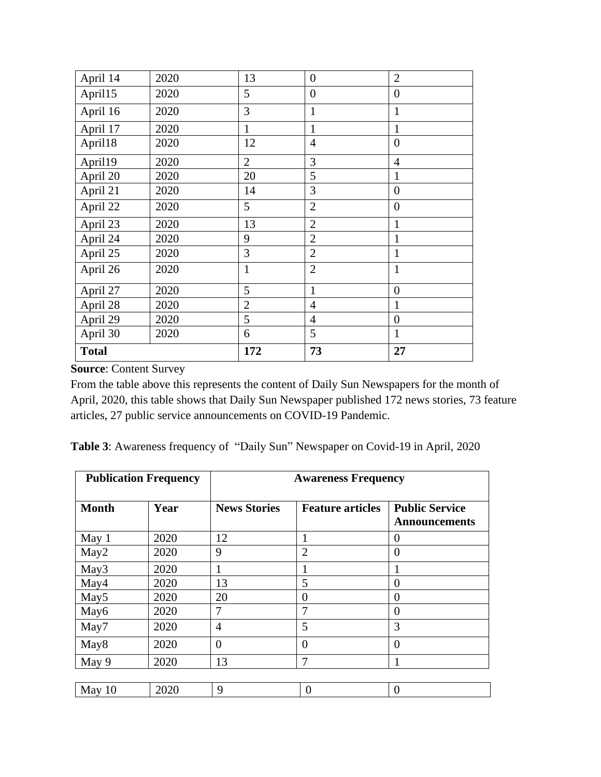| April 14     | 2020 | 13             | $\overline{0}$ | $\overline{2}$ |
|--------------|------|----------------|----------------|----------------|
| April15      | 2020 | 5              | $\overline{0}$ | $\overline{0}$ |
| April 16     | 2020 | 3              | $\mathbf{1}$   | $\mathbf{1}$   |
| April 17     | 2020 | 1              | $\mathbf{1}$   | $\mathbf{1}$   |
| April18      | 2020 | 12             | $\overline{4}$ | $\overline{0}$ |
| April19      | 2020 | $\overline{2}$ | 3              | $\overline{4}$ |
| April 20     | 2020 | 20             | 5              | $\mathbf{1}$   |
| April 21     | 2020 | 14             | 3              | $\overline{0}$ |
| April 22     | 2020 | 5              | $\overline{2}$ | $\overline{0}$ |
| April 23     | 2020 | 13             | $\overline{2}$ | $\mathbf{1}$   |
| April 24     | 2020 | 9              | $\overline{2}$ | $\mathbf{1}$   |
| April 25     | 2020 | 3              | $\overline{2}$ | $\mathbf{1}$   |
| April 26     | 2020 | $\mathbf{1}$   | $\overline{2}$ | $\mathbf{1}$   |
| April 27     | 2020 | 5              | $\mathbf{1}$   | $\overline{0}$ |
| April 28     | 2020 | $\overline{2}$ | $\overline{4}$ | $\mathbf{1}$   |
| April 29     | 2020 | 5              | $\overline{4}$ | $\overline{0}$ |
| April 30     | 2020 | 6              | 5              | $\mathbf{1}$   |
| <b>Total</b> |      | 172            | 73             | 27             |

From the table above this represents the content of Daily Sun Newspapers for the month of April, 2020, this table shows that Daily Sun Newspaper published 172 news stories, 73 feature articles, 27 public service announcements on COVID-19 Pandemic.

| Table 3: Awareness frequency of "Daily Sun" Newspaper on Covid-19 in April, 2020 |  |  |  |
|----------------------------------------------------------------------------------|--|--|--|
|                                                                                  |  |  |  |

| <b>Publication Frequency</b> |      | <b>Awareness Frequency</b> |                         |                                               |  |
|------------------------------|------|----------------------------|-------------------------|-----------------------------------------------|--|
| <b>Month</b>                 | Year | <b>News Stories</b>        | <b>Feature articles</b> | <b>Public Service</b><br><b>Announcements</b> |  |
| May 1                        | 2020 | 12                         |                         | 0                                             |  |
| May2                         | 2020 | 9                          | $\overline{2}$          | $\theta$                                      |  |
| May3                         | 2020 |                            |                         |                                               |  |
| May4                         | 2020 | 13                         | 5                       | 0                                             |  |
| May <sub>5</sub>             | 2020 | 20                         | $\theta$                | 0                                             |  |
| May6                         | 2020 | 7                          | 7                       | $\overline{0}$                                |  |
| May7                         | 2020 | $\overline{4}$             | 5                       | 3                                             |  |
| May <sub>8</sub>             | 2020 | $\overline{0}$             | $\overline{0}$          | $\theta$                                      |  |
| May 9                        | 2020 | 13                         | 7                       |                                               |  |
|                              |      |                            |                         |                                               |  |
| May $10$                     | 2020 | 9                          | 0                       | 0                                             |  |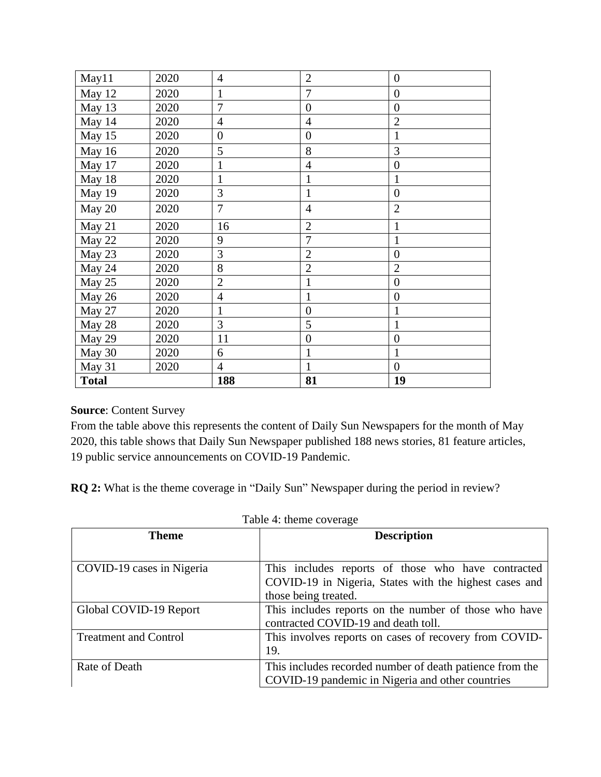| May11        | 2020 | $\overline{4}$   | $\overline{2}$   | $\boldsymbol{0}$ |
|--------------|------|------------------|------------------|------------------|
| May 12       | 2020 | $\mathbf{1}$     | 7                | $\boldsymbol{0}$ |
| May 13       | 2020 | $\overline{7}$   | $\overline{0}$   | $\overline{0}$   |
| May 14       | 2020 | $\overline{4}$   | $\overline{4}$   | $\overline{2}$   |
| May 15       | 2020 | $\boldsymbol{0}$ | $\boldsymbol{0}$ | $\mathbf{1}$     |
| May 16       | 2020 | 5                | 8                | 3                |
| May 17       | 2020 | $\mathbf{1}$     | $\overline{4}$   | $\boldsymbol{0}$ |
| May 18       | 2020 | $\mathbf{1}$     | $\mathbf{1}$     | 1                |
| May 19       | 2020 | 3                | $\mathbf{1}$     | $\overline{0}$   |
| May 20       | 2020 | $\overline{7}$   | $\overline{4}$   | $\overline{2}$   |
| May 21       | 2020 | 16               | $\overline{2}$   | $\mathbf{1}$     |
| May 22       | 2020 | 9                | $\overline{7}$   | $\mathbf{1}$     |
| May 23       | 2020 | $\overline{3}$   | $\overline{2}$   | $\boldsymbol{0}$ |
| May 24       | 2020 | 8                | $\overline{2}$   | $\overline{2}$   |
| May 25       | 2020 | $\overline{2}$   | $\mathbf{1}$     | $\overline{0}$   |
| May 26       | 2020 | $\overline{4}$   | $\mathbf{1}$     | $\overline{0}$   |
| May 27       | 2020 | $\mathbf{1}$     | $\boldsymbol{0}$ | $\mathbf{1}$     |
| May 28       | 2020 | 3                | 5                | $\mathbf{1}$     |
| May 29       | 2020 | 11               | $\boldsymbol{0}$ | $\overline{0}$   |
| May 30       | 2020 | 6                | $\mathbf{1}$     | $\mathbf{1}$     |
| May 31       | 2020 | $\overline{4}$   | $\mathbf{1}$     | $\overline{0}$   |
| <b>Total</b> |      | 188              | 81               | 19               |

From the table above this represents the content of Daily Sun Newspapers for the month of May 2020, this table shows that Daily Sun Newspaper published 188 news stories, 81 feature articles, 19 public service announcements on COVID-19 Pandemic.

**RQ 2:** What is the theme coverage in "Daily Sun" Newspaper during the period in review?

| radio il theme coverage      |                                                          |  |  |
|------------------------------|----------------------------------------------------------|--|--|
| Theme                        | <b>Description</b>                                       |  |  |
|                              |                                                          |  |  |
| COVID-19 cases in Nigeria    | This includes reports of those who have contracted       |  |  |
|                              | COVID-19 in Nigeria, States with the highest cases and   |  |  |
|                              | those being treated.                                     |  |  |
| Global COVID-19 Report       | This includes reports on the number of those who have    |  |  |
|                              | contracted COVID-19 and death toll.                      |  |  |
| <b>Treatment and Control</b> | This involves reports on cases of recovery from COVID-   |  |  |
|                              | 19.                                                      |  |  |
| Rate of Death                | This includes recorded number of death patience from the |  |  |
|                              | COVID-19 pandemic in Nigeria and other countries         |  |  |

Table 4: theme coverage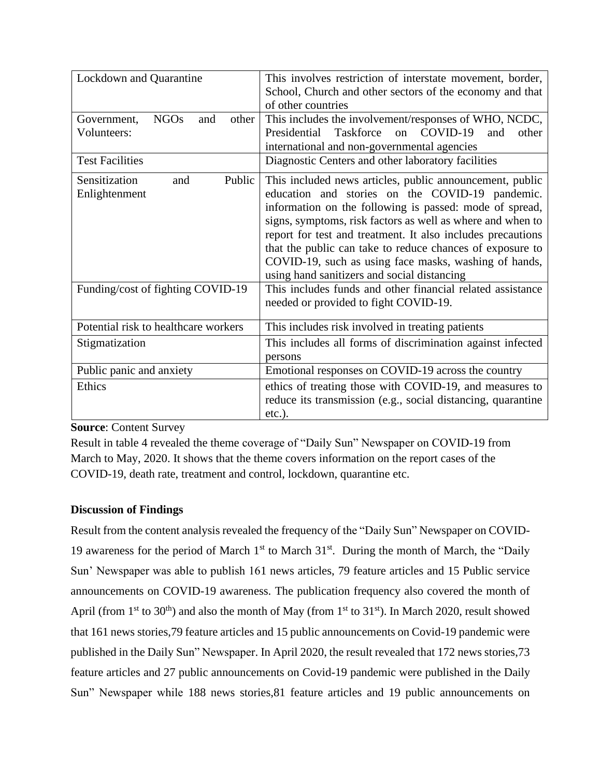| Lockdown and Quarantine                    | This involves restriction of interstate movement, border,         |  |
|--------------------------------------------|-------------------------------------------------------------------|--|
|                                            | School, Church and other sectors of the economy and that          |  |
|                                            | of other countries                                                |  |
| <b>NGOs</b><br>other<br>Government,<br>and | This includes the involvement/responses of WHO, NCDC,             |  |
| Volunteers:                                | COVID-19<br>Taskforce<br>Presidential<br>and<br>other<br>$\alpha$ |  |
|                                            | international and non-governmental agencies                       |  |
| <b>Test Facilities</b>                     | Diagnostic Centers and other laboratory facilities                |  |
| Sensitization<br>Public<br>and             | This included news articles, public announcement, public          |  |
| Enlightenment                              | education and stories on the COVID-19 pandemic.                   |  |
|                                            | information on the following is passed: mode of spread,           |  |
|                                            | signs, symptoms, risk factors as well as where and when to        |  |
|                                            | report for test and treatment. It also includes precautions       |  |
|                                            | that the public can take to reduce chances of exposure to         |  |
|                                            | COVID-19, such as using face masks, washing of hands,             |  |
|                                            | using hand sanitizers and social distancing                       |  |
| Funding/cost of fighting COVID-19          | This includes funds and other financial related assistance        |  |
|                                            | needed or provided to fight COVID-19.                             |  |
|                                            |                                                                   |  |
| Potential risk to healthcare workers       | This includes risk involved in treating patients                  |  |
| Stigmatization                             | This includes all forms of discrimination against infected        |  |
|                                            | persons                                                           |  |
| Public panic and anxiety                   | Emotional responses on COVID-19 across the country                |  |
| Ethics                                     | ethics of treating those with COVID-19, and measures to           |  |
|                                            | reduce its transmission (e.g., social distancing, quarantine      |  |
|                                            | $etc.$ ).                                                         |  |

Result in table 4 revealed the theme coverage of "Daily Sun" Newspaper on COVID-19 from March to May, 2020. It shows that the theme covers information on the report cases of the COVID-19, death rate, treatment and control, lockdown, quarantine etc.

## **Discussion of Findings**

Result from the content analysis revealed the frequency of the "Daily Sun" Newspaper on COVID-19 awareness for the period of March 1<sup>st</sup> to March 31<sup>st</sup>. During the month of March, the "Daily Sun' Newspaper was able to publish 161 news articles, 79 feature articles and 15 Public service announcements on COVID-19 awareness. The publication frequency also covered the month of April (from  $1<sup>st</sup>$  to 30<sup>th</sup>) and also the month of May (from  $1<sup>st</sup>$  to 31<sup>st</sup>). In March 2020, result showed that 161 news stories,79 feature articles and 15 public announcements on Covid-19 pandemic were published in the Daily Sun" Newspaper. In April 2020, the result revealed that 172 news stories,73 feature articles and 27 public announcements on Covid-19 pandemic were published in the Daily Sun" Newspaper while 188 news stories,81 feature articles and 19 public announcements on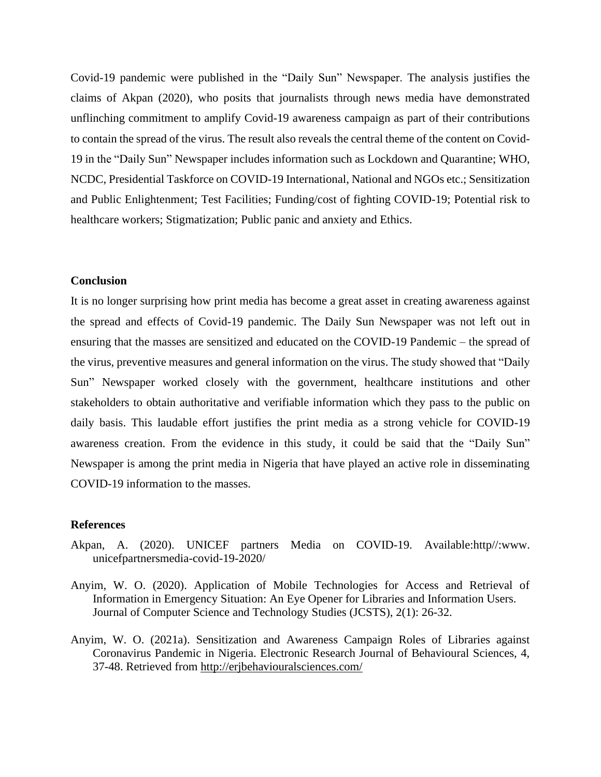Covid-19 pandemic were published in the "Daily Sun" Newspaper. The analysis justifies the claims of Akpan (2020), who posits that journalists through news media have demonstrated unflinching commitment to amplify Covid-19 awareness campaign as part of their contributions to contain the spread of the virus. The result also reveals the central theme of the content on Covid-19 in the "Daily Sun" Newspaper includes information such as Lockdown and Quarantine; WHO, NCDC, Presidential Taskforce on COVID-19 International, National and NGOs etc.; Sensitization and Public Enlightenment; Test Facilities; Funding/cost of fighting COVID-19; Potential risk to healthcare workers; Stigmatization; Public panic and anxiety and Ethics.

## **Conclusion**

It is no longer surprising how print media has become a great asset in creating awareness against the spread and effects of Covid-19 pandemic. The Daily Sun Newspaper was not left out in ensuring that the masses are sensitized and educated on the COVID-19 Pandemic – the spread of the virus, preventive measures and general information on the virus. The study showed that "Daily Sun" Newspaper worked closely with the government, healthcare institutions and other stakeholders to obtain authoritative and verifiable information which they pass to the public on daily basis. This laudable effort justifies the print media as a strong vehicle for COVID-19 awareness creation. From the evidence in this study, it could be said that the "Daily Sun" Newspaper is among the print media in Nigeria that have played an active role in disseminating COVID-19 information to the masses.

#### **References**

- Akpan, A. (2020). UNICEF partners Media on COVID-19. Available:http//:www. unicefpartnersmedia-covid-19-2020/
- Anyim, W. O. (2020). Application of Mobile Technologies for Access and Retrieval of Information in Emergency Situation: An Eye Opener for Libraries and Information Users. Journal of Computer Science and Technology Studies (JCSTS), 2(1): 26-32.
- Anyim, W. O. (2021a). Sensitization and Awareness Campaign Roles of Libraries against Coronavirus Pandemic in Nigeria. Electronic Research Journal of Behavioural Sciences, 4, 37-48. Retrieved from<http://erjbehaviouralsciences.com/>